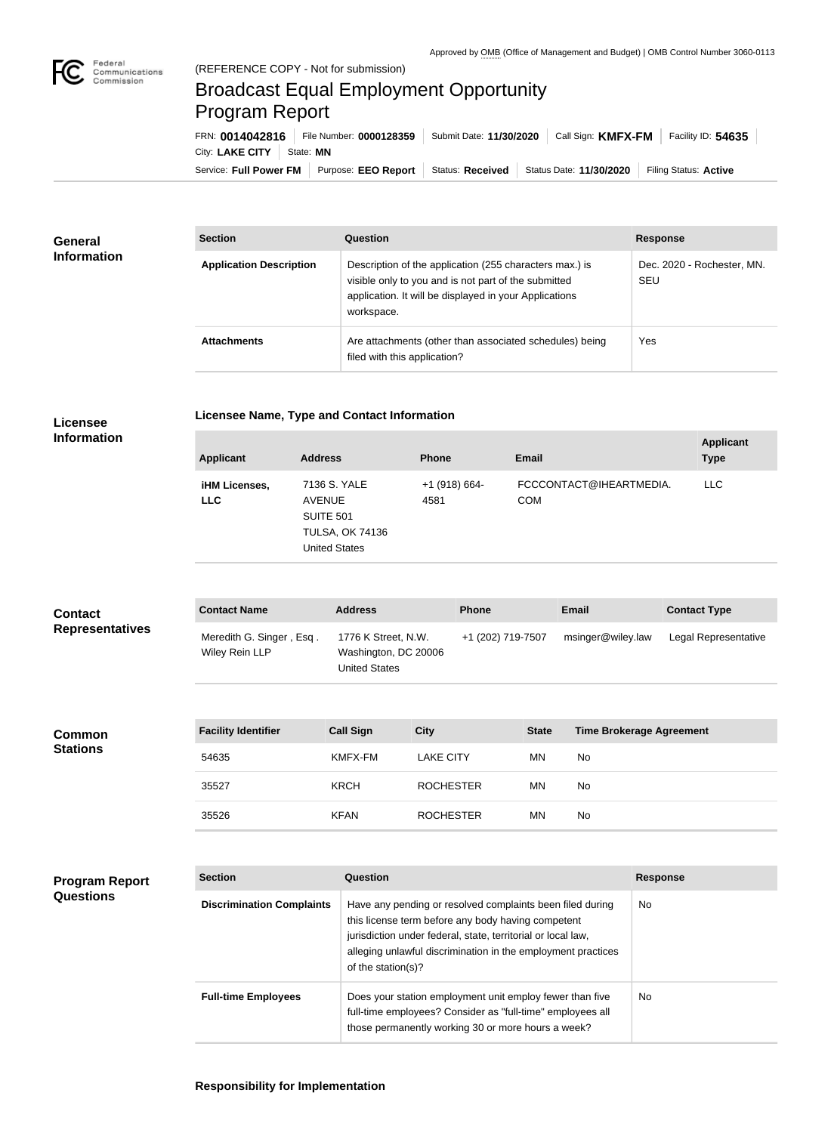

**COL** 

## Broadcast Equal Employment Opportunity Program Report

Service: Full Power FM Purpose: EEO Report | Status: Received | Status Date: 11/30/2020 | Filing Status: Active City: LAKE CITY | State: MN FRN: **0014042816** File Number: **0000128359** Submit Date: **11/30/2020** Call Sign: **KMFX-FM** Facility ID: **54635**

| <b>General</b><br><b>Information</b> | <b>Section</b>                 | Question                                                                                                                                                                                | <b>Response</b>                          |
|--------------------------------------|--------------------------------|-----------------------------------------------------------------------------------------------------------------------------------------------------------------------------------------|------------------------------------------|
|                                      | <b>Application Description</b> | Description of the application (255 characters max.) is<br>visible only to you and is not part of the submitted<br>application. It will be displayed in your Applications<br>workspace. | Dec. 2020 - Rochester, MN.<br><b>SEU</b> |
|                                      | <b>Attachments</b>             | Are attachments (other than associated schedules) being<br>filed with this application?                                                                                                 | <b>Yes</b>                               |

| <b>Licensee</b> |  |
|-----------------|--|
|                 |  |

**Licensee Name, Type and Contact Information**

**Information**

**Program Report** 

**Questions**

| <b>Applicant</b>                   | <b>Address</b>                                                                                      | <b>Phone</b>          | <b>Email</b>                          | <b>Applicant</b><br><b>Type</b> |
|------------------------------------|-----------------------------------------------------------------------------------------------------|-----------------------|---------------------------------------|---------------------------------|
| <b>iHM Licenses,</b><br><b>LLC</b> | 7136 S. YALE<br><b>AVENUE</b><br><b>SUITE 501</b><br><b>TULSA, OK 74136</b><br><b>United States</b> | +1 (918) 664-<br>4581 | FCCCONTACT@IHEARTMEDIA.<br><b>COM</b> | <b>LLC</b>                      |

| <b>Contact</b>         | <b>Contact Name</b>                        | <b>Address</b>                                               | <b>Phone</b>      | <b>Email</b>      | <b>Contact Type</b>  |
|------------------------|--------------------------------------------|--------------------------------------------------------------|-------------------|-------------------|----------------------|
| <b>Representatives</b> | Meredith G. Singer, Esq.<br>Wiley Rein LLP | 1776 K Street, N.W.<br>Washington, DC 20006<br>United States | +1 (202) 719-7507 | msinger@wiley.law | Legal Representative |

| <b>Common</b><br><b>Stations</b> | <b>Facility Identifier</b> | <b>Call Sign</b> | <b>City</b>      | <b>State</b> | <b>Time Brokerage Agreement</b> |
|----------------------------------|----------------------------|------------------|------------------|--------------|---------------------------------|
|                                  | 54635                      | KMFX-FM          | <b>LAKE CITY</b> | <b>MN</b>    | <b>No</b>                       |
|                                  | 35527                      | <b>KRCH</b>      | <b>ROCHESTER</b> | <b>MN</b>    | <b>No</b>                       |
|                                  | 35526                      | <b>KFAN</b>      | <b>ROCHESTER</b> | <b>MN</b>    | <b>No</b>                       |

| <b>Section</b>                   | Question                                                                                                                                                                                                                                                              | <b>Response</b> |
|----------------------------------|-----------------------------------------------------------------------------------------------------------------------------------------------------------------------------------------------------------------------------------------------------------------------|-----------------|
| <b>Discrimination Complaints</b> | Have any pending or resolved complaints been filed during<br>this license term before any body having competent<br>jurisdiction under federal, state, territorial or local law,<br>alleging unlawful discrimination in the employment practices<br>of the station(s)? | No.             |
| <b>Full-time Employees</b>       | Does your station employment unit employ fewer than five<br>full-time employees? Consider as "full-time" employees all<br>those permanently working 30 or more hours a week?                                                                                          | No.             |